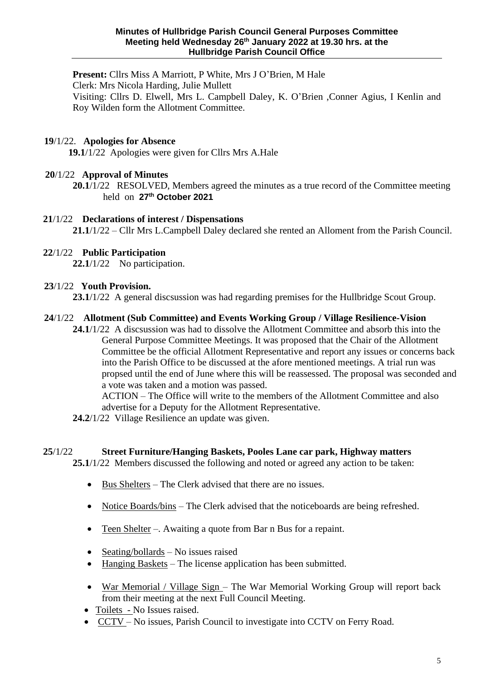**Present:** Cllrs Miss A Marriott, P White, Mrs J O'Brien, M Hale Clerk: Mrs Nicola Harding, Julie Mullett Visiting: Cllrs D. Elwell, Mrs L. Campbell Daley, K. O'Brien ,Conner Agius, I Kenlin and Roy Wilden form the Allotment Committee.

### **19**/1/22. **Apologies for Absence**

**19.1**/1/22 Apologies were given for Cllrs Mrs A.Hale

## **20**/1/22 **Approval of Minutes**

**20.1**/1/22 RESOLVED, Members agreed the minutes as a true record of the Committee meeting held on **27th October 2021**

# **21**/1/22 **Declarations of interest / Dispensations 21.1**/1/22 – Cllr Mrs L.Campbell Daley declared she rented an Alloment from the Parish Council.

## **22**/1/22 **Public Participation**

**22.1**/1/22 No participation.

#### **23**/1/22 **Youth Provision.**

**23.1**/1/22 A general discsussion was had regarding premises for the Hullbridge Scout Group.

#### **24**/1/22 **Allotment (Sub Committee) and Events Working Group / Village Resilience-Vision**

**24.1**/1/22 A discsussion was had to dissolve the Allotment Committee and absorb this into the General Purpose Committee Meetings. It was proposed that the Chair of the Allotment Committee be the official Allotment Representative and report any issues or concerns back into the Parish Office to be discussed at the afore mentioned meetings. A trial run was propsed until the end of June where this will be reassessed. The proposal was seconded and a vote was taken and a motion was passed.

ACTION – The Office will write to the members of the Allotment Committee and also advertise for a Deputy for the Allotment Representative.

**24.2**/1/22 Village Resilience an update was given.

#### **25**/1/22 **Street Furniture/Hanging Baskets, Pooles Lane car park, Highway matters**

**25.1**/1/22 Members discussed the following and noted or agreed any action to be taken:

- Bus Shelters The Clerk advised that there are no issues.
- Notice Boards/bins The Clerk advised that the noticeboards are being refreshed.
- Teen Shelter –. Awaiting a quote from Bar n Bus for a repaint.
- Seating/bollards No issues raised
- Hanging Baskets The license application has been submitted.
- War Memorial / Village Sign The War Memorial Working Group will report back from their meeting at the next Full Council Meeting.
- Toilets No Issues raised.
- CCTV No issues, Parish Council to investigate into CCTV on Ferry Road.